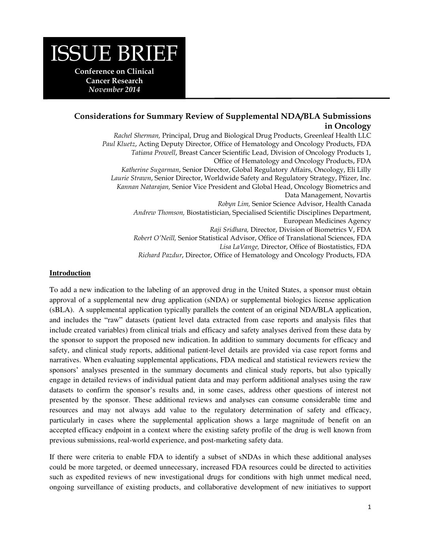# ISSUE BRIEF

**Conference on Clinical Cancer Research**  *November 2014* 

## **Considerations for Summary Review of Supplemental NDA/BLA Submissions in Oncology**

*Rachel Sherman,* Principal, Drug and Biological Drug Products, Greenleaf Health LLC *Paul Kluetz*, Acting Deputy Director, Office of Hematology and Oncology Products, FDA *Tatiana Prowell*, Breast Cancer Scientific Lead, Division of Oncology Products 1, Office of Hematology and Oncology Products, FDA *Katherine Sugarman*, Senior Director, Global Regulatory Affairs, Oncology, Eli Lilly *Laurie Strawn*, Senior Director, Worldwide Safety and Regulatory Strategy, Pfizer, Inc. *Kannan Natarajan,* Senior Vice President and Global Head, Oncology Biometrics and Data Management, Novartis *Robyn Lim,* Senior Science Advisor, Health Canada *Andrew Thomson,* Biostatistician, Specialised Scientific Disciplines Department, European Medicines Agency *Raji Sridhara,* Director, Division of Biometrics V, FDA *Robert O'Neill,* Senior Statistical Advisor, Office of Translational Sciences, FDA *Lisa LaVange,* Director, Office of Biostatistics, FDA

*Richard Pazdur*, Director, Office of Hematology and Oncology Products, FDA

#### **Introduction**

To add a new indication to the labeling of an approved drug in the United States, a sponsor must obtain approval of a supplemental new drug application (sNDA) or supplemental biologics license application (sBLA). A supplemental application typically parallels the content of an original NDA/BLA application, and includes the "raw" datasets (patient level data extracted from case reports and analysis files that include created variables) from clinical trials and efficacy and safety analyses derived from these data by the sponsor to support the proposed new indication. In addition to summary documents for efficacy and safety, and clinical study reports, additional patient-level details are provided via case report forms and narratives. When evaluating supplemental applications, FDA medical and statistical reviewers review the sponsors' analyses presented in the summary documents and clinical study reports, but also typically engage in detailed reviews of individual patient data and may perform additional analyses using the raw datasets to confirm the sponsor's results and, in some cases, address other questions of interest not presented by the sponsor. These additional reviews and analyses can consume considerable time and resources and may not always add value to the regulatory determination of safety and efficacy, particularly in cases where the supplemental application shows a large magnitude of benefit on an accepted efficacy endpoint in a context where the existing safety profile of the drug is well known from previous submissions, real-world experience, and post-marketing safety data.

If there were criteria to enable FDA to identify a subset of sNDAs in which these additional analyses could be more targeted, or deemed unnecessary, increased FDA resources could be directed to activities such as expedited reviews of new investigational drugs for conditions with high unmet medical need, ongoing surveillance of existing products, and collaborative development of new initiatives to support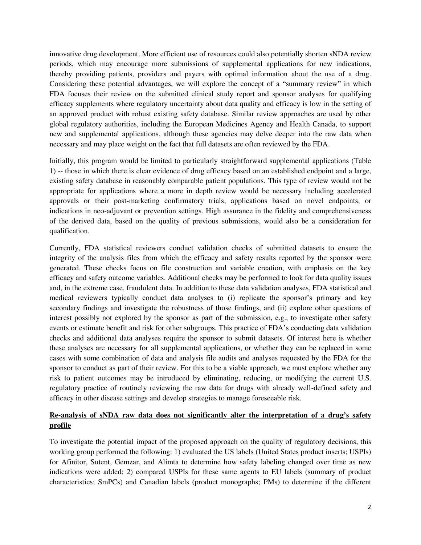innovative drug development. More efficient use of resources could also potentially shorten sNDA review periods, which may encourage more submissions of supplemental applications for new indications, thereby providing patients, providers and payers with optimal information about the use of a drug. Considering these potential advantages, we will explore the concept of a "summary review" in which FDA focuses their review on the submitted clinical study report and sponsor analyses for qualifying efficacy supplements where regulatory uncertainty about data quality and efficacy is low in the setting of an approved product with robust existing safety database. Similar review approaches are used by other global regulatory authorities, including the European Medicines Agency and Health Canada, to support new and supplemental applications, although these agencies may delve deeper into the raw data when necessary and may place weight on the fact that full datasets are often reviewed by the FDA.

Initially, this program would be limited to particularly straightforward supplemental applications (Table 1) -- those in which there is clear evidence of drug efficacy based on an established endpoint and a large, existing safety database in reasonably comparable patient populations. This type of review would not be appropriate for applications where a more in depth review would be necessary including accelerated approvals or their post-marketing confirmatory trials, applications based on novel endpoints, or indications in neo-adjuvant or prevention settings. High assurance in the fidelity and comprehensiveness of the derived data, based on the quality of previous submissions, would also be a consideration for qualification.

Currently, FDA statistical reviewers conduct validation checks of submitted datasets to ensure the integrity of the analysis files from which the efficacy and safety results reported by the sponsor were generated. These checks focus on file construction and variable creation, with emphasis on the key efficacy and safety outcome variables. Additional checks may be performed to look for data quality issues and, in the extreme case, fraudulent data. In addition to these data validation analyses, FDA statistical and medical reviewers typically conduct data analyses to (i) replicate the sponsor's primary and key secondary findings and investigate the robustness of those findings, and (ii) explore other questions of interest possibly not explored by the sponsor as part of the submission, e.g., to investigate other safety events or estimate benefit and risk for other subgroups. This practice of FDA's conducting data validation checks and additional data analyses require the sponsor to submit datasets. Of interest here is whether these analyses are necessary for all supplemental applications, or whether they can be replaced in some cases with some combination of data and analysis file audits and analyses requested by the FDA for the sponsor to conduct as part of their review. For this to be a viable approach, we must explore whether any risk to patient outcomes may be introduced by eliminating, reducing, or modifying the current U.S. regulatory practice of routinely reviewing the raw data for drugs with already well-defined safety and efficacy in other disease settings and develop strategies to manage foreseeable risk.

## **Re-analysis of sNDA raw data does not significantly alter the interpretation of a drug's safety profile**

To investigate the potential impact of the proposed approach on the quality of regulatory decisions, this working group performed the following: 1) evaluated the US labels (United States product inserts; USPIs) for Afinitor, Sutent, Gemzar, and Alimta to determine how safety labeling changed over time as new indications were added; 2) compared USPIs for these same agents to EU labels (summary of product characteristics; SmPCs) and Canadian labels (product monographs; PMs) to determine if the different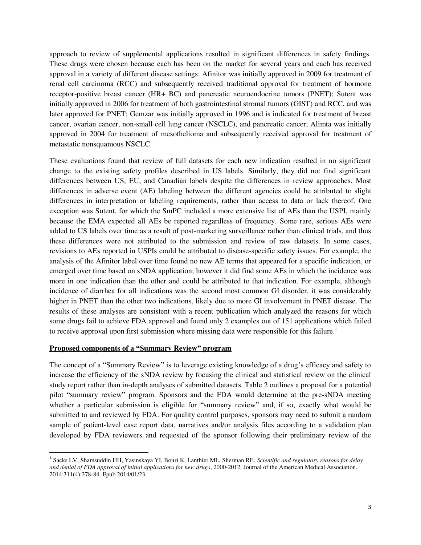approach to review of supplemental applications resulted in significant differences in safety findings. These drugs were chosen because each has been on the market for several years and each has received approval in a variety of different disease settings: Afinitor was initially approved in 2009 for treatment of renal cell carcinoma (RCC) and subsequently received traditional approval for treatment of hormone receptor-positive breast cancer (HR+ BC) and pancreatic neuroendocrine tumors (PNET); Sutent was initially approved in 2006 for treatment of both gastrointestinal stromal tumors (GIST) and RCC, and was later approved for PNET; Gemzar was initially approved in 1996 and is indicated for treatment of breast cancer, ovarian cancer, non-small cell lung cancer (NSCLC), and pancreatic cancer; Alimta was initially approved in 2004 for treatment of mesothelioma and subsequently received approval for treatment of metastatic nonsquamous NSCLC.

These evaluations found that review of full datasets for each new indication resulted in no significant change to the existing safety profiles described in US labels. Similarly, they did not find significant differences between US, EU, and Canadian labels despite the differences in review approaches. Most differences in adverse event (AE) labeling between the different agencies could be attributed to slight differences in interpretation or labeling requirements, rather than access to data or lack thereof. One exception was Sutent, for which the SmPC included a more extensive list of AEs than the USPI, mainly because the EMA expected all AEs be reported regardless of frequency. Some rare, serious AEs were added to US labels over time as a result of post-marketing surveillance rather than clinical trials, and thus these differences were not attributed to the submission and review of raw datasets. In some cases, revisions to AEs reported in USPIs could be attributed to disease-specific safety issues. For example, the analysis of the Afinitor label over time found no new AE terms that appeared for a specific indication, or emerged over time based on sNDA application; however it did find some AEs in which the incidence was more in one indication than the other and could be attributed to that indication. For example, although incidence of diarrhea for all indications was the second most common GI disorder, it was considerably higher in PNET than the other two indications, likely due to more GI involvement in PNET disease. The results of these analyses are consistent with a recent publication which analyzed the reasons for which some drugs fail to achieve FDA approval and found only 2 examples out of 151 applications which failed to receive approval upon first submission where missing data were responsible for this failure.<sup>1</sup>

#### **Proposed components of a "Summary Review" program**

 $\overline{a}$ 

The concept of a "Summary Review" is to leverage existing knowledge of a drug's efficacy and safety to increase the efficiency of the sNDA review by focusing the clinical and statistical review on the clinical study report rather than in-depth analyses of submitted datasets. Table 2 outlines a proposal for a potential pilot "summary review" program. Sponsors and the FDA would determine at the pre-sNDA meeting whether a particular submission is eligible for "summary review" and, if so, exactly what would be submitted to and reviewed by FDA. For quality control purposes, sponsors may need to submit a random sample of patient-level case report data, narratives and/or analysis files according to a validation plan developed by FDA reviewers and requested of the sponsor following their preliminary review of the

<sup>1</sup> Sacks LV, Shamsuddin HH, Yasinskaya YI, Bouri K, Lanthier ML, Sherman RE. *Scientific and regulatory reasons for delay and denial of FDA approval of initial applications for new drugs*, 2000-2012. Journal of the American Medical Association. 2014;311(4):378-84. Epub 2014/01/23.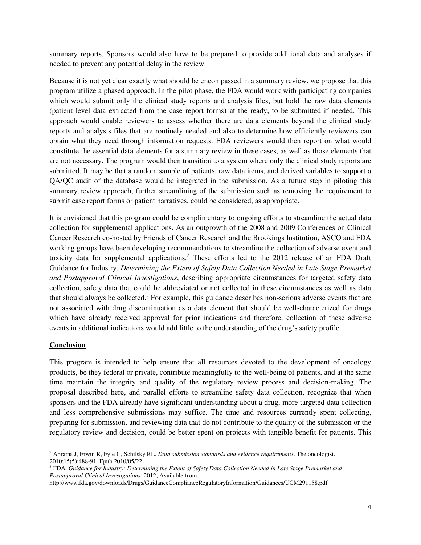summary reports. Sponsors would also have to be prepared to provide additional data and analyses if needed to prevent any potential delay in the review.

Because it is not yet clear exactly what should be encompassed in a summary review, we propose that this program utilize a phased approach. In the pilot phase, the FDA would work with participating companies which would submit only the clinical study reports and analysis files, but hold the raw data elements (patient level data extracted from the case report forms) at the ready, to be submitted if needed. This approach would enable reviewers to assess whether there are data elements beyond the clinical study reports and analysis files that are routinely needed and also to determine how efficiently reviewers can obtain what they need through information requests. FDA reviewers would then report on what would constitute the essential data elements for a summary review in these cases, as well as those elements that are not necessary. The program would then transition to a system where only the clinical study reports are submitted. It may be that a random sample of patients, raw data items, and derived variables to support a QA/QC audit of the database would be integrated in the submission. As a future step in piloting this summary review approach, further streamlining of the submission such as removing the requirement to submit case report forms or patient narratives, could be considered, as appropriate.

It is envisioned that this program could be complimentary to ongoing efforts to streamline the actual data collection for supplemental applications. As an outgrowth of the 2008 and 2009 Conferences on Clinical Cancer Research co-hosted by Friends of Cancer Research and the Brookings Institution, ASCO and FDA working groups have been developing recommendations to streamline the collection of adverse event and toxicity data for supplemental applications.<sup>2</sup> These efforts led to the 2012 release of an FDA Draft Guidance for Industry, *Determining the Extent of Safety Data Collection Needed in Late Stage Premarket and Postapproval Clinical Investigations*, describing appropriate circumstances for targeted safety data collection, safety data that could be abbreviated or not collected in these circumstances as well as data that should always be collected.<sup>3</sup> For example, this guidance describes non-serious adverse events that are not associated with drug discontinuation as a data element that should be well-characterized for drugs which have already received approval for prior indications and therefore, collection of these adverse events in additional indications would add little to the understanding of the drug's safety profile.

### **Conclusion**

l

This program is intended to help ensure that all resources devoted to the development of oncology products, be they federal or private, contribute meaningfully to the well-being of patients, and at the same time maintain the integrity and quality of the regulatory review process and decision-making. The proposal described here, and parallel efforts to streamline safety data collection, recognize that when sponsors and the FDA already have significant understanding about a drug, more targeted data collection and less comprehensive submissions may suffice. The time and resources currently spent collecting, preparing for submission, and reviewing data that do not contribute to the quality of the submission or the regulatory review and decision, could be better spent on projects with tangible benefit for patients. This

<sup>2</sup> Abrams J, Erwin R, Fyfe G, Schilsky RL. *Data submission standards and evidence requirements*. The oncologist. 2010;15(5):488-91. Epub 2010/05/22. 3 FDA*. Guidance for Industry: Determining the Extent of Safety Data Collection Needed in Late Stage Premarket and* 

*Postapproval Clinical Investigations.* 2012; Available from:

http://www.fda.gov/downloads/Drugs/GuidanceComplianceRegulatoryInformation/Guidances/UCM291158.pdf.